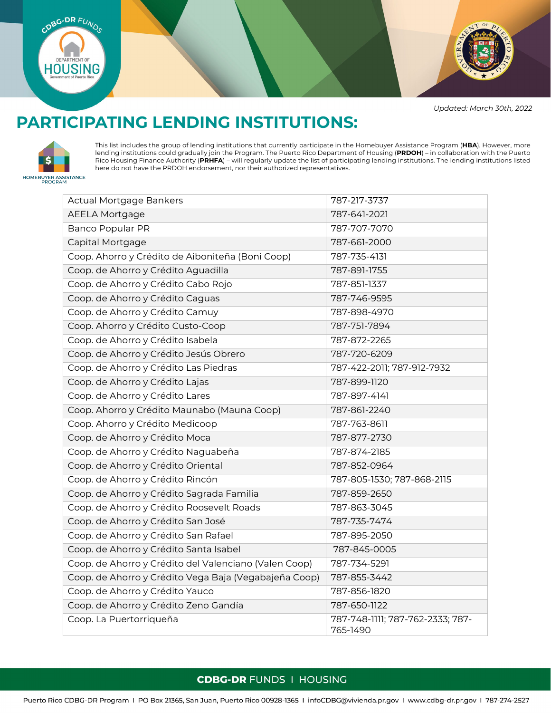



*Updated: March 30th, 2022*

## **PARTICIPATING LENDING INSTITUTIONS:**



This list includes the group of lending institutions that currently participate in the Homebuyer Assistance Program (**HBA**). However, more lending institutions could gradually join the Program. The Puerto Rico Department of Housing (**PRDOH**) – in collaboration with the Puerto Rico Housing Finance Authority (**PRHFA**) – will regularly update the list of participating lending institutions. The lending institutions listed here do not have the PRDOH endorsement, nor their authorized representatives.

| <b>Actual Mortgage Bankers</b>                        | 787-217-3737                                 |
|-------------------------------------------------------|----------------------------------------------|
| <b>AEELA Mortgage</b>                                 | 787-641-2021                                 |
| <b>Banco Popular PR</b>                               | 787-707-7070                                 |
| Capital Mortgage                                      | 787-661-2000                                 |
| Coop. Ahorro y Crédito de Aiboniteña (Boni Coop)      | 787-735-4131                                 |
| Coop. de Ahorro y Crédito Aguadilla                   | 787-891-1755                                 |
| Coop. de Ahorro y Crédito Cabo Rojo                   | 787-851-1337                                 |
| Coop. de Ahorro y Crédito Caguas                      | 787-746-9595                                 |
| Coop. de Ahorro y Crédito Camuy                       | 787-898-4970                                 |
| Coop. Ahorro y Crédito Custo-Coop                     | 787-751-7894                                 |
| Coop. de Ahorro y Crédito Isabela                     | 787-872-2265                                 |
| Coop. de Ahorro y Crédito Jesús Obrero                | 787-720-6209                                 |
| Coop. de Ahorro y Crédito Las Piedras                 | 787-422-2011; 787-912-7932                   |
| Coop. de Ahorro y Crédito Lajas                       | 787-899-1120                                 |
| Coop. de Ahorro y Crédito Lares                       | 787-897-4141                                 |
| Coop. Ahorro y Crédito Maunabo (Mauna Coop)           | 787-861-2240                                 |
| Coop. Ahorro y Crédito Medicoop                       | 787-763-8611                                 |
| Coop. de Ahorro y Crédito Moca                        | 787-877-2730                                 |
| Coop. de Ahorro y Crédito Naguabeña                   | 787-874-2185                                 |
| Coop. de Ahorro y Crédito Oriental                    | 787-852-0964                                 |
| Coop. de Ahorro y Crédito Rincón                      | 787-805-1530; 787-868-2115                   |
| Coop. de Ahorro y Crédito Sagrada Familia             | 787-859-2650                                 |
| Coop. de Ahorro y Crédito Roosevelt Roads             | 787-863-3045                                 |
| Coop. de Ahorro y Crédito San José                    | 787-735-7474                                 |
| Coop. de Ahorro y Crédito San Rafael                  | 787-895-2050                                 |
| Coop. de Ahorro y Crédito Santa Isabel                | 787-845-0005                                 |
| Coop. de Ahorro y Crédito del Valenciano (Valen Coop) | 787-734-5291                                 |
| Coop. de Ahorro y Crédito Vega Baja (Vegabajeña Coop) | 787-855-3442                                 |
| Coop. de Ahorro y Crédito Yauco                       | 787-856-1820                                 |
| Coop. de Ahorro y Crédito Zeno Gandía                 | 787-650-1122                                 |
| Coop. La Puertorriqueña                               | 787-748-1111; 787-762-2333; 787-<br>765-1490 |

## **CDBG-DR FUNDS I HOUSING**